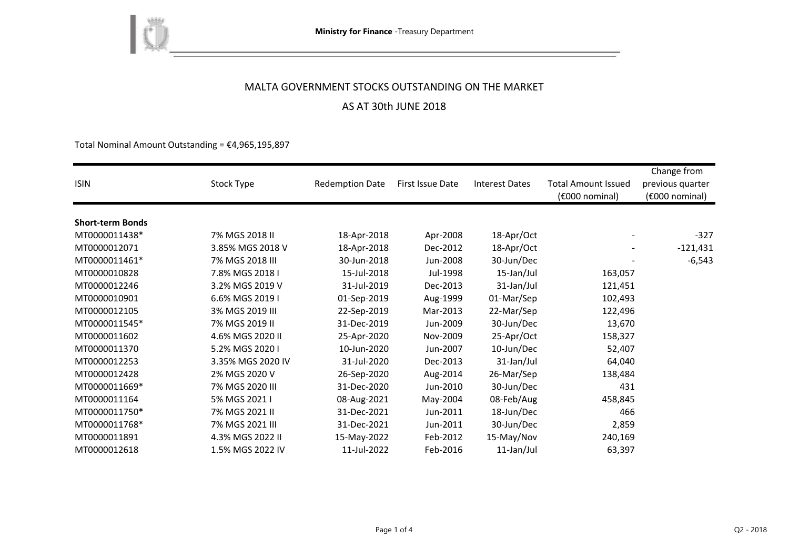

AS AT 30th JUNE 2018

Total Nominal Amount Outstanding =  $£4,965,195,897$ 

| <b>ISIN</b>             | Stock Type        | <b>Redemption Date</b> | First Issue Date | <b>Interest Dates</b> | <b>Total Amount Issued</b><br>(€000 nominal) | Change from<br>previous quarter<br>(€000 nominal) |
|-------------------------|-------------------|------------------------|------------------|-----------------------|----------------------------------------------|---------------------------------------------------|
| <b>Short-term Bonds</b> |                   |                        |                  |                       |                                              |                                                   |
| MT0000011438*           | 7% MGS 2018 II    | 18-Apr-2018            | Apr-2008         | 18-Apr/Oct            |                                              | $-327$                                            |
| MT0000012071            | 3.85% MGS 2018 V  | 18-Apr-2018            | Dec-2012         | 18-Apr/Oct            |                                              | $-121,431$                                        |
| MT0000011461*           | 7% MGS 2018 III   | 30-Jun-2018            | Jun-2008         | 30-Jun/Dec            |                                              | $-6,543$                                          |
| MT0000010828            | 7.8% MGS 2018 I   | 15-Jul-2018            | Jul-1998         | 15-Jan/Jul            | 163,057                                      |                                                   |
| MT0000012246            | 3.2% MGS 2019 V   | 31-Jul-2019            | Dec-2013         | 31-Jan/Jul            | 121,451                                      |                                                   |
| MT0000010901            | 6.6% MGS 2019 I   | 01-Sep-2019            | Aug-1999         | 01-Mar/Sep            | 102,493                                      |                                                   |
| MT0000012105            | 3% MGS 2019 III   | 22-Sep-2019            | Mar-2013         | 22-Mar/Sep            | 122,496                                      |                                                   |
| MT0000011545*           | 7% MGS 2019 II    | 31-Dec-2019            | Jun-2009         | 30-Jun/Dec            | 13,670                                       |                                                   |
| MT0000011602            | 4.6% MGS 2020 II  | 25-Apr-2020            | Nov-2009         | 25-Apr/Oct            | 158,327                                      |                                                   |
| MT0000011370            | 5.2% MGS 2020 I   | 10-Jun-2020            | Jun-2007         | 10-Jun/Dec            | 52,407                                       |                                                   |
| MT0000012253            | 3.35% MGS 2020 IV | 31-Jul-2020            | Dec-2013         | 31-Jan/Jul            | 64,040                                       |                                                   |
| MT0000012428            | 2% MGS 2020 V     | 26-Sep-2020            | Aug-2014         | 26-Mar/Sep            | 138,484                                      |                                                   |
| MT0000011669*           | 7% MGS 2020 III   | 31-Dec-2020            | Jun-2010         | 30-Jun/Dec            | 431                                          |                                                   |
| MT0000011164            | 5% MGS 2021 I     | 08-Aug-2021            | May-2004         | 08-Feb/Aug            | 458,845                                      |                                                   |
| MT0000011750*           | 7% MGS 2021 II    | 31-Dec-2021            | Jun-2011         | 18-Jun/Dec            | 466                                          |                                                   |
| MT0000011768*           | 7% MGS 2021 III   | 31-Dec-2021            | Jun-2011         | 30-Jun/Dec            | 2,859                                        |                                                   |
| MT0000011891            | 4.3% MGS 2022 II  | 15-May-2022            | Feb-2012         | 15-May/Nov            | 240,169                                      |                                                   |
| MT0000012618            | 1.5% MGS 2022 IV  | 11-Jul-2022            | Feb-2016         | 11-Jan/Jul            | 63,397                                       |                                                   |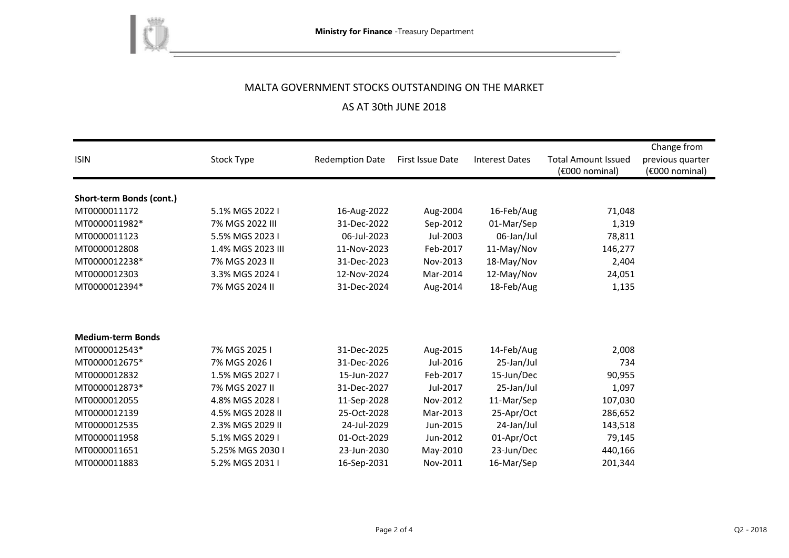

# AS AT 30th JUNE 2018

|                          |                   |                        |                  |                       |                            | Change from      |
|--------------------------|-------------------|------------------------|------------------|-----------------------|----------------------------|------------------|
| <b>ISIN</b>              | Stock Type        | <b>Redemption Date</b> | First Issue Date | <b>Interest Dates</b> | <b>Total Amount Issued</b> | previous quarter |
|                          |                   |                        |                  |                       | (€000 nominal)             | (€000 nominal)   |
|                          |                   |                        |                  |                       |                            |                  |
| Short-term Bonds (cont.) |                   |                        |                  |                       |                            |                  |
| MT0000011172             | 5.1% MGS 2022 I   | 16-Aug-2022            | Aug-2004         | 16-Feb/Aug            | 71,048                     |                  |
| MT0000011982*            | 7% MGS 2022 III   | 31-Dec-2022            | Sep-2012         | 01-Mar/Sep            | 1,319                      |                  |
| MT0000011123             | 5.5% MGS 2023 I   | 06-Jul-2023            | Jul-2003         | 06-Jan/Jul            | 78,811                     |                  |
| MT0000012808             | 1.4% MGS 2023 III | 11-Nov-2023            | Feb-2017         | 11-May/Nov            | 146,277                    |                  |
| MT0000012238*            | 7% MGS 2023 II    | 31-Dec-2023            | Nov-2013         | 18-May/Nov            | 2,404                      |                  |
| MT0000012303             | 3.3% MGS 2024 I   | 12-Nov-2024            | Mar-2014         | 12-May/Nov            | 24,051                     |                  |
| MT0000012394*            | 7% MGS 2024 II    | 31-Dec-2024            | Aug-2014         | 18-Feb/Aug            | 1,135                      |                  |
|                          |                   |                        |                  |                       |                            |                  |
|                          |                   |                        |                  |                       |                            |                  |
| <b>Medium-term Bonds</b> |                   |                        |                  |                       |                            |                  |
|                          |                   |                        |                  |                       |                            |                  |
| MT0000012543*            | 7% MGS 2025 I     | 31-Dec-2025            | Aug-2015         | 14-Feb/Aug            | 2,008                      |                  |
| MT0000012675*            | 7% MGS 2026 I     | 31-Dec-2026            | Jul-2016         | 25-Jan/Jul            | 734                        |                  |
| MT0000012832             | 1.5% MGS 2027 I   | 15-Jun-2027            | Feb-2017         | 15-Jun/Dec            | 90,955                     |                  |
| MT0000012873*            | 7% MGS 2027 II    | 31-Dec-2027            | Jul-2017         | 25-Jan/Jul            | 1,097                      |                  |
| MT0000012055             | 4.8% MGS 2028 I   | 11-Sep-2028            | Nov-2012         | 11-Mar/Sep            | 107,030                    |                  |
| MT0000012139             | 4.5% MGS 2028 II  | 25-Oct-2028            | Mar-2013         | 25-Apr/Oct            | 286,652                    |                  |
| MT0000012535             | 2.3% MGS 2029 II  | 24-Jul-2029            | Jun-2015         | 24-Jan/Jul            | 143,518                    |                  |
| MT0000011958             | 5.1% MGS 2029 I   | 01-Oct-2029            | Jun-2012         | 01-Apr/Oct            | 79,145                     |                  |
| MT0000011651             | 5.25% MGS 2030 I  | 23-Jun-2030            | May-2010         | 23-Jun/Dec            | 440,166                    |                  |
| MT0000011883             | 5.2% MGS 2031 I   | 16-Sep-2031            | Nov-2011         | 16-Mar/Sep            | 201,344                    |                  |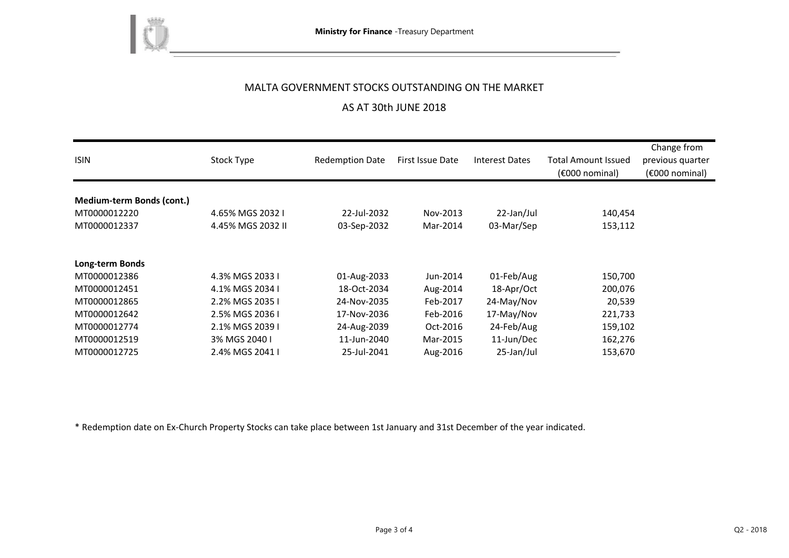

# AS AT 30th JUNE 2018

| <b>ISIN</b>               | Stock Type        | <b>Redemption Date</b> | First Issue Date | <b>Interest Dates</b> | <b>Total Amount Issued</b><br>(€000 nominal) | Change from<br>previous quarter<br>$(6000)$ nominal) |
|---------------------------|-------------------|------------------------|------------------|-----------------------|----------------------------------------------|------------------------------------------------------|
| Medium-term Bonds (cont.) |                   |                        |                  |                       |                                              |                                                      |
| MT0000012220              | 4.65% MGS 2032 I  | 22-Jul-2032            | Nov-2013         | 22-Jan/Jul            | 140,454                                      |                                                      |
| MT0000012337              | 4.45% MGS 2032 II | 03-Sep-2032            | Mar-2014         | 03-Mar/Sep            | 153,112                                      |                                                      |
| Long-term Bonds           |                   |                        |                  |                       |                                              |                                                      |
| MT0000012386              | 4.3% MGS 2033 I   | 01-Aug-2033            | Jun-2014         | 01-Feb/Aug            | 150,700                                      |                                                      |
| MT0000012451              | 4.1% MGS 2034 I   | 18-Oct-2034            | Aug-2014         | 18-Apr/Oct            | 200,076                                      |                                                      |
| MT0000012865              | 2.2% MGS 2035 I   | 24-Nov-2035            | Feb-2017         | 24-May/Nov            | 20,539                                       |                                                      |
| MT0000012642              | 2.5% MGS 2036 I   | 17-Nov-2036            | Feb-2016         | 17-May/Nov            | 221,733                                      |                                                      |
| MT0000012774              | 2.1% MGS 2039 I   | 24-Aug-2039            | Oct-2016         | 24-Feb/Aug            | 159,102                                      |                                                      |
| MT0000012519              | 3% MGS 2040 I     | 11-Jun-2040            | Mar-2015         | 11-Jun/Dec            | 162,276                                      |                                                      |
| MT0000012725              | 2.4% MGS 2041 I   | 25-Jul-2041            | Aug-2016         | 25-Jan/Jul            | 153,670                                      |                                                      |

\* Redemption date on Ex-Church Property Stocks can take place between 1st January and 31st December of the year indicated.